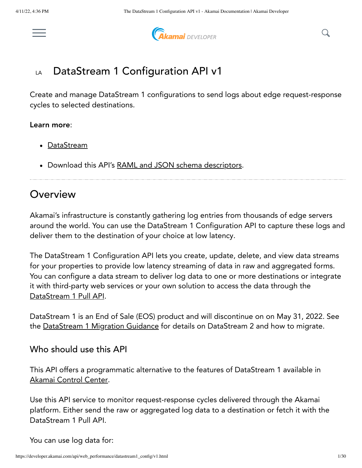

**Akamai** DEVELOPER

#### DataStream 1 Configuration API v1 LA

Create and manage DataStream 1 configurations to send logs about edge request-response cycles to selected destinations.

#### Learn more:

- <u>[DataStream](https://learn.akamai.com/products/web_performance/datastream.html)</u>
- Download this API's RAML and JSON schema [descriptors](https://developer.akamai.com/api/web_performance/datastream1_config/v1-api.zip).

## **Overview**

Akamai's infrastructure is constantly gathering log entries from thousands of edge servers around the world. You can use the DataStream 1 Configuration API to capture these logs and deliver them to the destination of your choice at low latency.

The DataStream 1 Configuration API lets you create, update, delete, and view data streams for your properties to provide low latency streaming of data in raw and aggregated forms. You can configure a data stream to deliver log data to one or more destinations or integrate it with third-party web services or your own solution to access the data through the [DataStream](https://developer.akamai.com/api/web_performance/datastream/v1.html) 1 Pull API.

DataStream 1 is an End of Sale (EOS) product and will discontinue on on May 31, 2022. See the [DataStream](https://learn.akamai.com/en-us/webhelp/datastream/datastream-user-guide/GUID-54E4A615-3D78-4A85-8A8E-A08E8997D173.html) 1 Migration Guidance for details on DataStream 2 and how to migrate.

#### Who should use this API

This API offers a programmatic alternative to the features of DataStream 1 available in Akamai [Control](https://control.akamai.com/) Center.

Use this API service to monitor request-response cycles delivered through the Akamai platform. Either send the raw or aggregated log data to a destination or fetch it with the DataStream 1 Pull API.

You can use log data for: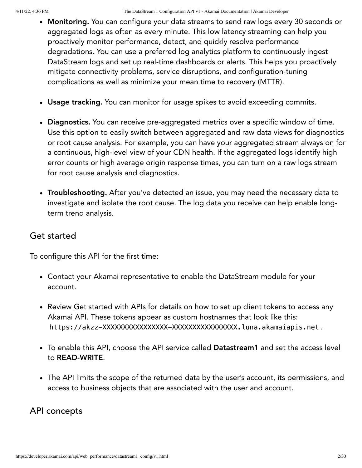- Monitoring. You can configure your data streams to send raw logs every 30 seconds or aggregated logs as often as every minute. This low latency streaming can help you proactively monitor performance, detect, and quickly resolve performance degradations. You can use a preferred log analytics platform to continuously ingest DataStream logs and set up real-time dashboards or alerts. This helps you proactively mitigate connectivity problems, service disruptions, and configuration-tuning complications as well as minimize your mean time to recovery (MTTR).
- Usage tracking. You can monitor for usage spikes to avoid exceeding commits.
- Diagnostics. You can receive pre-aggregated metrics over a specific window of time. Use this option to easily switch between aggregated and raw data views for diagnostics or root cause analysis. For example, you can have your aggregated stream always on for a continuous, high-level view of your CDN health. If the aggregated logs identify high error counts or high average origin response times, you can turn on a raw logs stream for root cause analysis and diagnostics.
- Troubleshooting. After you've detected an issue, you may need the necessary data to investigate and isolate the root cause. The log data you receive can help enable longterm trend analysis.

## Get started

To configure this API for the first time:

- Contact your Akamai representative to enable the DataStream module for your account.
- Review Get [started](https://learn.akamai.com/learn_akamai/getting_started_with_akamai_developers/developer_tools/getstartedapis.html) with APIs for details on how to set up client tokens to access any Akamai API. These tokens appear as custom hostnames that look like this: https://akzz-XXXXXXXXXXXXXXX-XXXXXXXXXXXXXXXXX.luna.akamaiapis.net.
- To enable this API, choose the API service called Datastream1 and set the access level to READ-WRITE.
- The API limits the scope of the returned data by the user's account, its permissions, and access to business objects that are associated with the user and account.

### <span id="page-1-0"></span>API concepts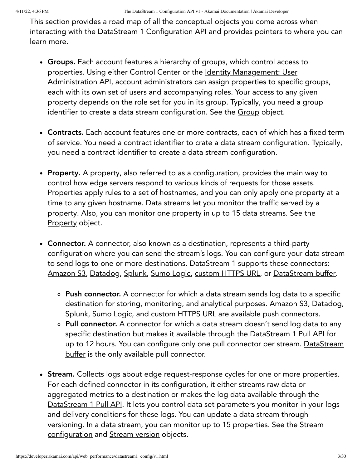This section provides a road map of all the conceptual objects you come across when interacting with the DataStream 1 Configuration API and provides pointers to where you can learn more.

- Groups. Each account features a hierarchy of groups, which control access to properties. Using either Control Center or the Identity Management: User [Administration](https://developer.akamai.com/api/core_features/identity_management_user_admin/v2.html) API, account administrators can assign properties to specific groups, each with its own set of users and accompanying roles. Your access to any given property depends on the role set for you in its group. Typically, you need a group identifier to create a data stream configuration. See the [Group](#page-12-0) object.
- Contracts. Each account features one or more contracts, each of which has a fixed term of service. You need a contract identifier to crate a data stream configuration. Typically, you need a contract identifier to create a data stream configuration.
- Property. A property, also referred to as a configuration, provides the main way to control how edge servers respond to various kinds of requests for those assets. Properties apply rules to a set of hostnames, and you can only apply one property at a time to any given hostname. Data streams let you monitor the traffic served by a property. Also, you can monitor one property in up to 15 data streams. See the [Property](#page-11-0) object.
- Connector. A connector, also known as a destination, represents a third-party configuration where you can send the stream's logs. You can configure your data stream to send logs to one or more destinations. DataStream 1 supports these connectors: [Amazon](#page-21-0) S3, [Datadog,](#page-23-0) [Splunk](#page-24-0), [Sumo](#page-25-0) Logic, [custom](#page-26-0) HTTPS URL, or [DataStream](#page-26-1) buffer.
	- Push connector. A connector for which a data stream sends log data to a specific destination for storing, monitoring, and analytical purposes. [Amazon](#page-21-0) S3, [Datadog](#page-23-0), [Splunk](#page-24-0), [Sumo](#page-25-0) Logic, and [custom](#page-26-0) HTTPS URL are available push connectors.
	- Pull connector. A connector for which a data stream doesn't send log data to any specific destination but makes it available through the [DataStream](https://developer.akamai.com/api/web_performance/datastream/v1.html) 1 Pull API for up to 12 hours. You can configure only one pull connector per stream. [DataStream](#page-26-1) buffer is the only available pull connector.
- Stream. Collects logs about edge request-response cycles for one or more properties. For each defined connector in its configuration, it either streams raw data or aggregated metrics to a destination or makes the log data available through the [DataStream](https://developer.akamai.com/api/web_performance/datastream/v1.html) 1 Pull API. It lets you control data set parameters you monitor in your logs and delivery conditions for these logs. You can update a data stream through versioning. In a data stream, you can monitor up to 15 properties. See the Stream [configuration](#page-17-0) and Stream [version](#page-14-0) objects.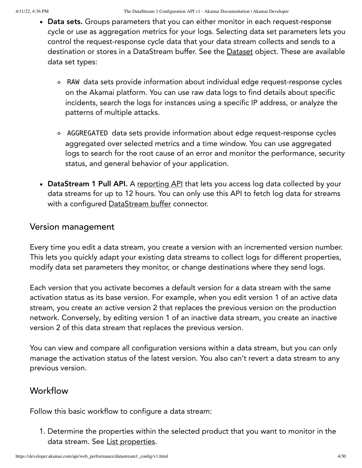- Data sets. Groups parameters that you can either monitor in each request-response cycle or use as aggregation metrics for your logs. Selecting data set parameters lets you control the request-response cycle data that your data stream collects and sends to a destination or stores in a DataStream buffer. See the **[Dataset](#page-13-0)** object. These are available data set types:
	- RAW data sets provide information about individual edge request-response cycles on the Akamai platform. You can use raw data logs to find details about specific incidents, search the logs for instances using a specific IP address, or analyze the patterns of multiple attacks.
	- AGGREGATED data sets provide information about edge request-response cycles aggregated over selected metrics and a time window. You can use aggregated logs to search for the root cause of an error and monitor the performance, security status, and general behavior of your application.
- DataStream 1 Pull API. A [reporting](https://developer.akamai.com/api/web_performance/datastream/v1.html) API that lets you access log data collected by your data streams for up to 12 hours. You can only use this API to fetch log data for streams with a configured [DataStream](#page-26-1) buffer connector.

### <span id="page-3-0"></span>Version management

Every time you edit a data stream, you create a version with an incremented version number. This lets you quickly adapt your existing data streams to collect logs for different properties, modify data set parameters they monitor, or change destinations where they send logs.

Each version that you activate becomes a default version for a data stream with the same activation status as its base version. For example, when you edit version 1 of an active data stream, you create an active version 2 that replaces the previous version on the production network. Conversely, by editing version 1 of an inactive data stream, you create an inactive version 2 of this data stream that replaces the previous version.

You can view and compare all configuration versions within a data stream, but you can only manage the activation status of the latest version. You also can't revert a data stream to any previous version.

## Workflow

Follow this basic workflow to configure a data stream:

1. Determine the properties within the selected product that you want to monitor in the data stream. See List [properties](#page-5-0).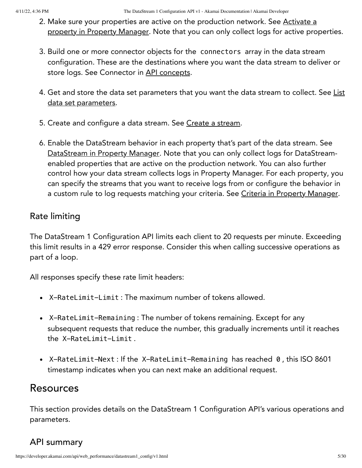- 2. Make sure your properties are active on the [production](https://developer.akamai.com/api/core_features/property_manager/v1.html#postpropertyactivations) network. See Activate a property in Property Manager. Note that you can only collect logs for active properties.
- 3. Build one or more connector objects for the connectors array in the data stream configuration. These are the destinations where you want the data stream to deliver or store logs. See Connector in API [concepts.](#page-1-0)
- 4. Get and store the data set parameters that you want the data stream to collect. See List data set [parameters.](#page-6-0)
- 5. Create and configure a data stream. See Create a [stream](#page-7-0).
- 6. Enable the DataStream behavior in each property that's part of the data stream. See [DataStream](https://developer.akamai.com/api/core_features/property_manager/vlatest.html#datastream) in Property Manager. Note that you can only collect logs for DataStreamenabled properties that are active on the production network. You can also further control how your data stream collects logs in Property Manager. For each property, you can specify the streams that you want to receive logs from or configure the behavior in a custom rule to log requests matching your criteria. See Criteria in Property [Manager.](https://developer.akamai.com/api/core_features/property_manager/v1.html#criteria)

## <span id="page-4-0"></span>Rate limiting

The DataStream 1 Configuration API limits each client to 20 requests per minute. Exceeding this limit results in a 429 error response. Consider this when calling successive operations as part of a loop.

All responses specify these rate limit headers:

- X-RateLimit-Limit : The maximum number of tokens allowed.
- X-RateLimit-Remaining : The number of tokens remaining. Except for any subsequent requests that reduce the number, this gradually increments until it reaches the X-RateLimit-Limit .
- X-RateLimit-Next: If the X-RateLimit-Remaining has reached 0, this ISO 8601 timestamp indicates when you can next make an additional request.

## Resources

This section provides details on the DataStream 1 Configuration API's various operations and parameters.

## API summary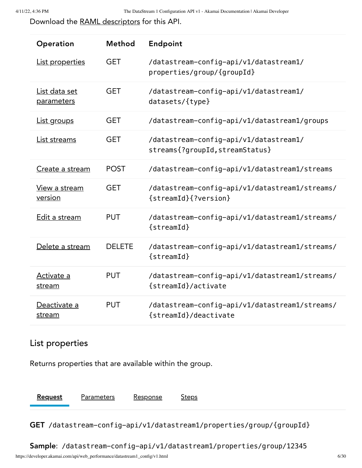Download the [RAML descriptors](https://developer.akamai.com/api/web_performance/datastream1_config/v1-api.zip) for this API.

| Operation                              | Method        | Endpoint                                                                  |
|----------------------------------------|---------------|---------------------------------------------------------------------------|
| <b>List properties</b>                 | <b>GET</b>    | /datastream-config-api/v1/datastream1/<br>properties/group/{groupId}      |
| List data set<br>parameters            | <b>GET</b>    | /datastream-config-api/v1/datastream1/<br>datasets/{type}                 |
| List groups                            | <b>GET</b>    | /datastream-config-api/v1/datastream1/groups                              |
| <u>List streams</u>                    | <b>GET</b>    | /datastream-config-api/v1/datastream1/<br>streams{?groupId, streamStatus} |
| Create a stream                        | <b>POST</b>   | /datastream-config-api/v1/datastream1/streams                             |
| <u>View a stream</u><br><u>version</u> | <b>GET</b>    | /datastream-config-api/v1/datastream1/streams/<br>{streamId}{?version}    |
| Edit a stream                          | <b>PUT</b>    | /datastream-config-api/v1/datastream1/streams/<br>$\{streamId\}$          |
| Delete a stream                        | <b>DELETE</b> | /datastream-config-api/v1/datastream1/streams/<br>$\{streamId\}$          |
| Activate a<br>stream                   | <b>PUT</b>    | /datastream-config-api/v1/datastream1/streams/<br>{streamId}/activate     |
| Deactivate a<br>stream                 | <b>PUT</b>    | /datastream-config-api/v1/datastream1/streams/<br>{streamId}/deactivate   |

## <span id="page-5-0"></span>List properties

Returns properties that are available within the group.

[Request](#page-5-1) Parameters Response Steps

<span id="page-5-1"></span>GET /datastream-config-api/v1/datastream1/properties/group/{groupId}

Sample: /datastream-config-api/v1/datastream1/properties/group/12345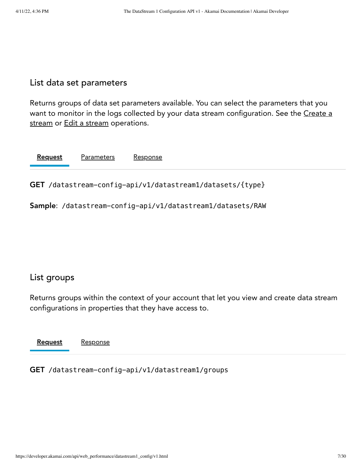### <span id="page-6-0"></span>List data set parameters

Returns groups of data set parameters available. You can select the parameters that you want to monitor in the logs collected by your data stream [configuration.](#page-7-0) See the Create a [stream](#page-8-1) or Edit a stream operations.

| <b>Request</b><br><b>Parameters</b> | Response |
|-------------------------------------|----------|
|-------------------------------------|----------|

<span id="page-6-2"></span>GET /datastream-config-api/v1/datastream1/datasets/{type}

Sample: /datastream-config-api/v1/datastream1/datasets/RAW

### <span id="page-6-1"></span>List groups

Returns groups within the context of your account that let you view and create data stream configurations in properties that they have access to.

[Request](#page-6-3) Response

<span id="page-6-3"></span>GET /datastream-config-api/v1/datastream1/groups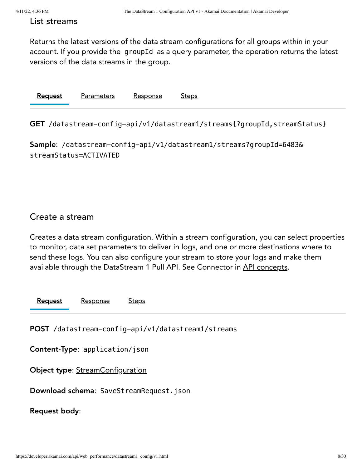#### <span id="page-7-1"></span>List streams

Returns the latest versions of the data stream configurations for all groups within in your account. If you provide the groupId as a query parameter, the operation returns the latest versions of the data streams in the group.

| <b>Request</b> | Parameters | Response | <b>Steps</b> |
|----------------|------------|----------|--------------|
|                |            |          |              |

<span id="page-7-2"></span>GET /datastream-config-api/v1/datastream1/streams{?groupId,streamStatus}

Sample: /datastream-config-api/v1/datastream1/streams?groupId=6483& streamStatus=ACTIVATED

### <span id="page-7-0"></span>Create a stream

Creates a data stream configuration. Within a stream configuration, you can select properties to monitor, data set parameters to deliver in logs, and one or more destinations where to send these logs. You can also configure your stream to store your logs and make them available through the DataStream 1 Pull API. See Connector in API [concepts.](#page-1-0)

[Request](#page-7-3) Response Steps

<span id="page-7-3"></span>POST /datastream-config-api/v1/datastream1/streams

Content-Type: application/json

Object type: [StreamConfiguration](#page-18-0)

Download schema: [SaveStreamRequest.json](https://developer.akamai.com/api/web_performance/datastream1_config/v1-api.zip)

Request body: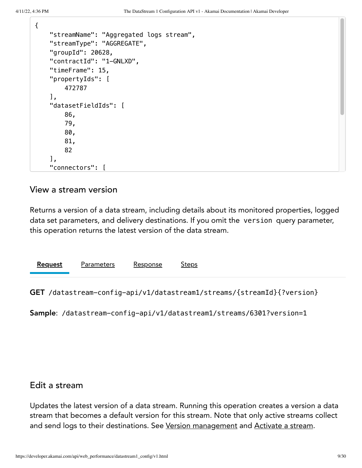{

| "streamName": "Aggregated logs stream", |
|-----------------------------------------|
| "streamType": "AGGREGATE",              |
| "groupId": 20628,                       |
| "contractId": "1-GNLXD",                |
| "timeFrame": 15,                        |
| "propertyIds": [                        |
| 472787                                  |
| Ι,                                      |
| "datasetFieldIds": [                    |
| 86,                                     |
| 79,                                     |
| 80,                                     |
| 81,                                     |
| 82                                      |
| Ι,                                      |
| "connectors": [                         |

#### <span id="page-8-0"></span>View a stream version

Returns a version of a data stream, including details about its monitored properties, logged data set parameters, and delivery destinations. If you omit the version query parameter, this operation returns the latest version of the data stream.

| Request | - - - - - -<br>・・・・・ | Recnonce | .tans |  |
|---------|----------------------|----------|-------|--|
|         |                      |          |       |  |

<span id="page-8-2"></span>GET /datastream-config-api/v1/datastream1/streams/{streamId}{?version}

Sample: /datastream-config-api/v1/datastream1/streams/6301?version=1

### <span id="page-8-1"></span>Edit a stream

Updates the latest version of a data stream. Running this operation creates a version a data stream that becomes a default version for this stream. Note that only active streams collect and send logs to their destinations. See Version [management](#page-3-0) and [Activate](#page-10-0) a stream.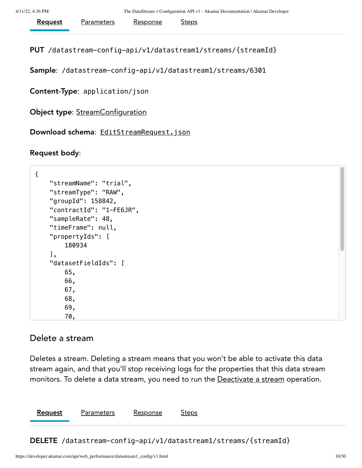| Response | <b>Request</b><br>Parameters | <u>Steps</u> |
|----------|------------------------------|--------------|
|----------|------------------------------|--------------|

<span id="page-9-1"></span>PUT /datastream-config-api/v1/datastream1/streams/{streamId}

Sample: /datastream-config-api/v1/datastream1/streams/6301

Content-Type: application/json

Object type: [StreamConfiguration](#page-18-0)

Download schema: [EditStreamRequest.json](https://developer.akamai.com/api/web_performance/datastream1_config/v1-api.zip)

Request body:

```
{
     "streamName": "trial",
     "streamType": "RAW",
     "groupId": 158842,
     "contractId": "1-FE6JR",
     "sampleRate": 48,
     "timeFrame": null,
     "propertyIds": [
         180934
     ],
     "datasetFieldIds": [
         65,
         66,
         67,
         68,
         69,
         70,
```
#### <span id="page-9-0"></span>Delete a stream

Deletes a stream. Deleting a stream means that you won't be able to activate this data stream again, and that you'll stop receiving logs for the properties that this data stream monitors. To delete a data stream, you need to run the [Deactivate](#page-10-1) a stream operation.

[Request](#page-9-2) Parameters Response Steps

<span id="page-9-2"></span>DELETE /datastream-config-api/v1/datastream1/streams/{streamId}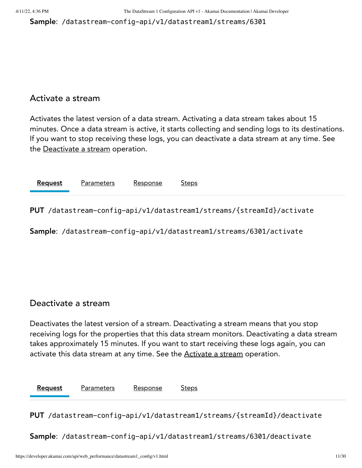Sample: /datastream-config-api/v1/datastream1/streams/6301

#### <span id="page-10-0"></span>Activate a stream

Activates the latest version of a data stream. Activating a data stream takes about 15 minutes. Once a data stream is active, it starts collecting and sending logs to its destinations. If you want to stop receiving these logs, you can deactivate a data stream at any time. See the [Deactivate](#page-10-1) a stream operation.

| Request<br>1747 | ∩רי∩ | <u>teps</u> |  |
|-----------------|------|-------------|--|
|                 |      |             |  |

<span id="page-10-2"></span>PUT /datastream-config-api/v1/datastream1/streams/{streamId}/activate

Sample: /datastream-config-api/v1/datastream1/streams/6301/activate

#### <span id="page-10-1"></span>Deactivate a stream

Deactivates the latest version of a stream. Deactivating a stream means that you stop receiving logs for the properties that this data stream monitors. Deactivating a data stream takes approximately 15 minutes. If you want to start receiving these logs again, you can activate this data stream at any time. See the **[Activate](#page-10-0) a stream** operation.

[Request](#page-10-3) Parameters Response Steps

<span id="page-10-3"></span>PUT /datastream-config-api/v1/datastream1/streams/{streamId}/deactivate

Sample: /datastream-config-api/v1/datastream1/streams/6301/deactivate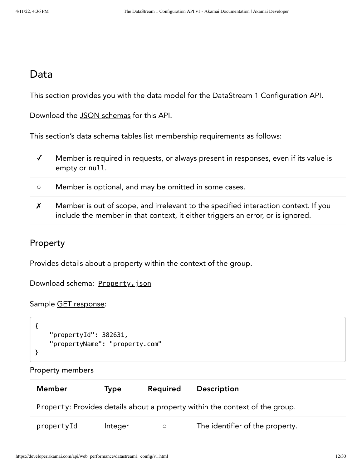## Data

This section provides you with the data model for the DataStream 1 Configuration API.

Download the JSON [schemas](https://developer.akamai.com/api/web_performance/datastream1_config/v1-api.zip) for this API.

This section's data schema tables list membership requirements as follows:

- ✓ Member is required in requests, or always present in responses, even if its value is empty or null.
- Member is optional, and may be omitted in some cases.
- ✗ Member is out of scope, and irrelevant to the specified interaction context. If you include the member in that context, it either triggers an error, or is ignored.

## <span id="page-11-0"></span>Property

Provides details about a property within the context of the group.

Download schema: [Property.json](https://developer.akamai.com/api/web_performance/datastream1_config/v1-api.zip)

Sample GET [response:](#page-5-0)

```
{
     "propertyId": 382631,
     "propertyName": "property.com"
}
```
#### Property members

| Member     | Type    | <b>Required</b> | Description                                                                  |
|------------|---------|-----------------|------------------------------------------------------------------------------|
|            |         |                 | Property: Provides details about a property within the context of the group. |
| propertyId | Integer | $\circ$         | The identifier of the property.                                              |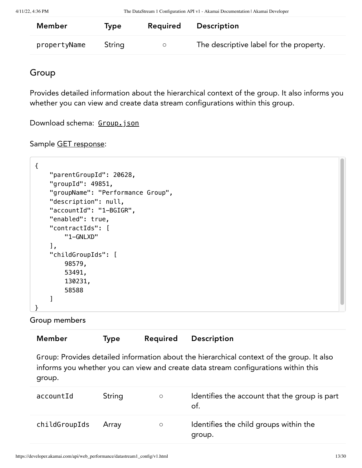| Member       | Type   | Required | Description                             |
|--------------|--------|----------|-----------------------------------------|
| propertyName | String | $\circ$  | The descriptive label for the property. |

## <span id="page-12-0"></span>Group

Provides detailed information about the hierarchical context of the group. It also informs you whether you can view and create data stream configurations within this group.

Download schema: [Group.json](https://developer.akamai.com/api/web_performance/datastream1_config/v1-api.zip)

#### Sample GET [response:](#page-6-1)

```
{
     "parentGroupId": 20628,
     "groupId": 49851,
     "groupName": "Performance Group",
     "description": null,
     "accountId": "1-BGIGR",
     "enabled": true,
     "contractIds": [
         "1-GNLXD"
     ],
     "childGroupIds": [
         98579,
         53491,
         130231,
         58588
     ]
}
```
Group members

| <b>Member</b> | <b>Type</b> | Required | Description                                                                                                                                                                     |
|---------------|-------------|----------|---------------------------------------------------------------------------------------------------------------------------------------------------------------------------------|
| group.        |             |          | Group: Provides detailed information about the hierarchical context of the group. It also<br>informs you whether you can view and create data stream configurations within this |
| accountId     | String      | $\circ$  | Identifies the account that the group is part<br>of.                                                                                                                            |
| childGroupIds | Array       | $\circ$  | Identifies the child groups within the<br>group.                                                                                                                                |
|               |             |          |                                                                                                                                                                                 |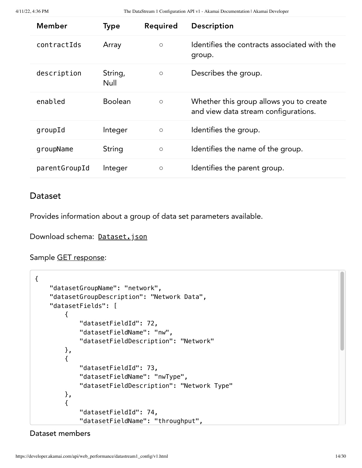4/11/22, 4:36 PM The DataStream 1 Configuration API v1 - Akamai Documentation | Akamai Developer

| <b>Member</b> | <b>Type</b>     | Required | Description                                                                     |
|---------------|-----------------|----------|---------------------------------------------------------------------------------|
| contractIds   | Array           | $\circ$  | Identifies the contracts associated with the<br>group.                          |
| description   | String,<br>Null | $\circ$  | Describes the group.                                                            |
| enabled       | <b>Boolean</b>  | $\circ$  | Whether this group allows you to create<br>and view data stream configurations. |
| groupId       | Integer         | $\circ$  | Identifies the group.                                                           |
| groupName     | String          | $\circ$  | Identifies the name of the group.                                               |
| parentGroupId | Integer         | $\circ$  | Identifies the parent group.                                                    |

#### <span id="page-13-0"></span>Dataset

Provides information about a group of data set parameters available.

Download schema: [Dataset.json](https://developer.akamai.com/api/web_performance/datastream1_config/v1-api.zip)

Sample GET [response:](#page-6-0)

```
{
     "datasetGroupName": "network",
     "datasetGroupDescription": "Network Data",
     "datasetFields": [
         {
             "datasetFieldId": 72,
             "datasetFieldName": "nw",
             "datasetFieldDescription": "Network"
         },
         {
             "datasetFieldId": 73,
             "datasetFieldName": "nwType",
             "datasetFieldDescription": "Network Type"
         },
         {
             "datasetFieldId": 74,
             "datasetFieldName": "throughput",
```
Dataset members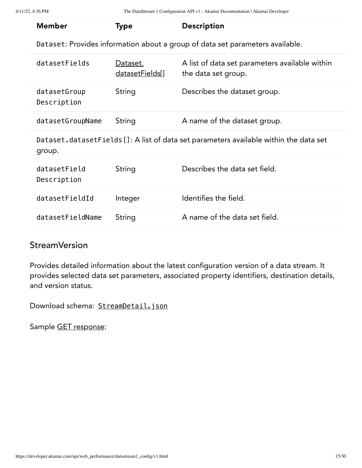| <b>Member</b>               | <b>Type</b>                 | <b>Description</b>                                                                    |
|-----------------------------|-----------------------------|---------------------------------------------------------------------------------------|
|                             |                             | Dataset: Provides information about a group of data set parameters available.         |
|                             |                             |                                                                                       |
| datasetFields               | Dataset.<br>datasetFields[] | A list of data set parameters available within<br>the data set group.                 |
| datasetGroup<br>Description | String                      | Describes the dataset group.                                                          |
| datasetGroupName            | String                      | A name of the dataset group.                                                          |
| group.                      |                             | Dataset.datasetFields []: A list of data set parameters available within the data set |
| datasetField<br>Description | String                      | Describes the data set field.                                                         |
| datasetFieldId              | Integer                     | Identifies the field.                                                                 |
| datasetFieldName            | String                      | A name of the data set field.                                                         |
|                             |                             |                                                                                       |

## <span id="page-14-1"></span><span id="page-14-0"></span>**StreamVersion**

Provides detailed information about the latest configuration version of a data stream. It provides selected data set parameters, associated property identifiers, destination details, and version status.

Download schema: [StreamDetail.json](https://developer.akamai.com/api/web_performance/datastream1_config/v1-api.zip)

Sample GET [response:](#page-8-0)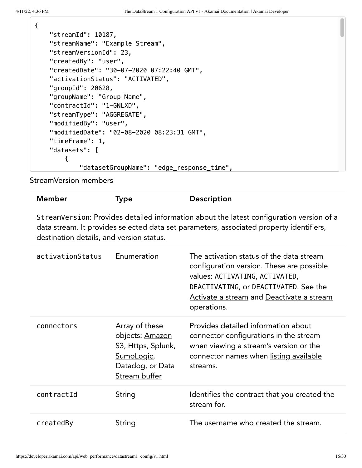{

| "streamId": 10187,                         |
|--------------------------------------------|
| "streamName": "Example Stream",            |
| "streamVersionId": 23,                     |
| "createdBy": "user",                       |
| "createdDate": "30-07-2020 07:22:40 GMT",  |
| "activationStatus": "ACTIVATED",           |
| "groupId": 20628,                          |
| "groupName": "Group Name",                 |
| "contractId": "1-GNLXD",                   |
| "streamType": "AGGREGATE",                 |
| "modifiedBy": "user",                      |
| "modifiedDate": "02-08-2020 08:23:31 GMT", |
| "timeFrame": 1,                            |
| "datasets": [                              |
| ł                                          |
| "datasetGroupName": "edge_response_time",  |

StreamVersion members

## Member Type Description

StreamVersion: Provides detailed information about the latest configuration version of a data stream. It provides selected data set parameters, associated property identifiers, destination details, and version status.

| activationStatus | Enumeration                                                                                                | The activation status of the data stream<br>configuration version. These are possible<br>values: ACTIVATING, ACTIVATED,<br>DEACTIVATING, or DEACTIVATED. See the<br>Activate a stream and Deactivate a stream<br>operations. |
|------------------|------------------------------------------------------------------------------------------------------------|------------------------------------------------------------------------------------------------------------------------------------------------------------------------------------------------------------------------------|
| connectors       | Array of these<br>objects: Amazon<br>S3, Https, Splunk,<br>SumoLogic,<br>Datadog, or Data<br>Stream buffer | Provides detailed information about<br>connector configurations in the stream<br>when viewing a stream's version or the<br>connector names when listing available<br>streams.                                                |
| contractId       | String                                                                                                     | Identifies the contract that you created the<br>stream for.                                                                                                                                                                  |
| createdBy        | String                                                                                                     | The username who created the stream.                                                                                                                                                                                         |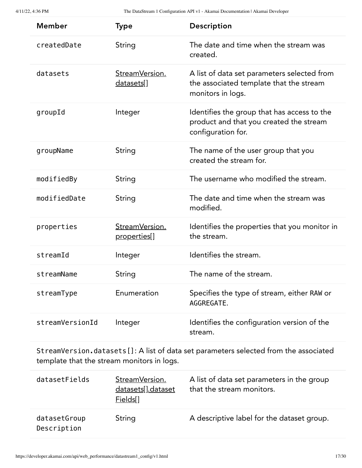| <b>Member</b>   | <b>Type</b>                            | Description                                                                                                  |
|-----------------|----------------------------------------|--------------------------------------------------------------------------------------------------------------|
| createdDate     | String                                 | The date and time when the stream was<br>created.                                                            |
| datasets        | StreamVersion.<br>datasets[]           | A list of data set parameters selected from<br>the associated template that the stream<br>monitors in logs.  |
| groupId         | Integer                                | Identifies the group that has access to the<br>product and that you created the stream<br>configuration for. |
| groupName       | String                                 | The name of the user group that you<br>created the stream for.                                               |
| modifiedBy      | String                                 | The username who modified the stream.                                                                        |
| modifiedDate    | String                                 | The date and time when the stream was<br>modified.                                                           |
| properties      | StreamVersion.<br><u>properties</u> [] | Identifies the properties that you monitor in<br>the stream.                                                 |
| streamId        | Integer                                | Identifies the stream.                                                                                       |
| streamName      | String                                 | The name of the stream.                                                                                      |
| streamType      | Enumeration                            | Specifies the type of stream, either RAW or<br>AGGREGATE.                                                    |
| streamVersionId | Integer                                | Identifies the configuration version of the<br>stream.                                                       |

<span id="page-16-0"></span>StreamVersion.datasets[]: A list of data set parameters selected from the associated template that the stream monitors in logs.

| datasetFields               | StreamVersion.<br>datasets[].dataset<br>Fields[] | A list of data set parameters in the group<br>that the stream monitors. |
|-----------------------------|--------------------------------------------------|-------------------------------------------------------------------------|
| datasetGroup<br>Description | String                                           | A descriptive label for the dataset group.                              |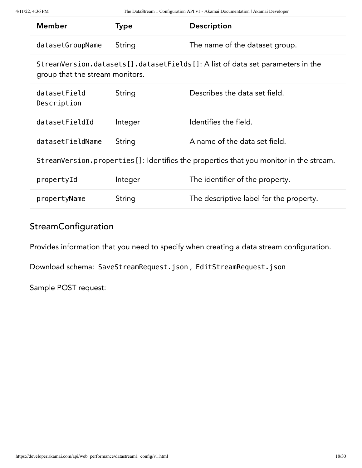<span id="page-17-2"></span>

| <b>Member</b>                   | Type    | Description                                                                            |
|---------------------------------|---------|----------------------------------------------------------------------------------------|
| datasetGroupName                | String  | The name of the dataset group.                                                         |
| group that the stream monitors. |         | StreamVersion.datasets[].datasetFields[]: A list of data set parameters in the         |
| datasetField<br>Description     | String  | Describes the data set field.                                                          |
| datasetFieldId                  | Integer | Identifies the field.                                                                  |
| datasetFieldName                | String  | A name of the data set field.                                                          |
|                                 |         | StreamVersion.properties []: Identifies the properties that you monitor in the stream. |
| propertyId                      | Integer | The identifier of the property.                                                        |
| propertyName                    | String  | The descriptive label for the property.                                                |

## <span id="page-17-1"></span><span id="page-17-0"></span>**StreamConfiguration**

Provides information that you need to specify when creating a data stream configuration.

Download schema: SaveStreamRequest.json , [EditStreamRequest.json](https://developer.akamai.com/api/web_performance/datastream1_config/v1-api.zip)

Sample POST [request](#page-7-0):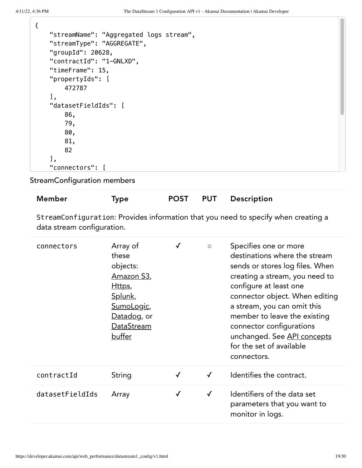| "streamName": "Aggregated logs stream", |
|-----------------------------------------|
| "streamType": "AGGREGATE",              |
| "groupId": $20628$ ,                    |
| "contractId": "1-GNLXD",                |
| "timeFrame": 15,                        |
| "propertyIds": [                        |
| 472787                                  |
| Ι,                                      |
| "datasetFieldIds": [                    |
| 86,                                     |
| 79,                                     |
| 80,                                     |
| 81,                                     |
| 82                                      |
| 1,                                      |
| "connectors": [                         |

<span id="page-18-0"></span>StreamConfiguration members

| Member | Type | <b>POST</b> | <b>PUT</b> | Description |
|--------|------|-------------|------------|-------------|
|        |      |             |            |             |

StreamConfiguration: Provides information that you need to specify when creating a data stream configuration.

| connectors      | Array of<br>these<br>objects:<br>Amazon S3,<br>Https,<br>Splunk,<br>SumoLogic,<br>Datadog, or<br>DataStream<br>buffer |              | $\circ$      | Specifies one or more<br>destinations where the stream<br>sends or stores log files. When<br>creating a stream, you need to<br>configure at least one<br>connector object. When editing<br>a stream, you can omit this<br>member to leave the existing<br>connector configurations<br>unchanged. See API concepts<br>for the set of available<br>connectors. |
|-----------------|-----------------------------------------------------------------------------------------------------------------------|--------------|--------------|--------------------------------------------------------------------------------------------------------------------------------------------------------------------------------------------------------------------------------------------------------------------------------------------------------------------------------------------------------------|
| contractId      | String                                                                                                                |              | $\checkmark$ | Identifies the contract.                                                                                                                                                                                                                                                                                                                                     |
| datasetFieldIds | Array                                                                                                                 | $\checkmark$ | $\checkmark$ | Identifiers of the data set<br>parameters that you want to<br>monitor in logs.                                                                                                                                                                                                                                                                               |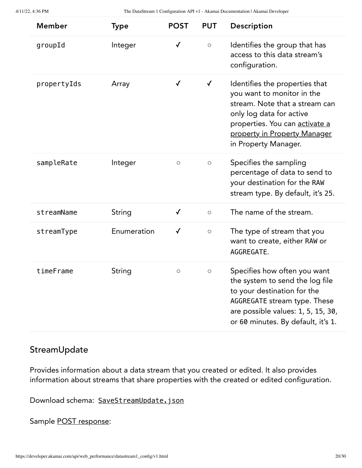| <b>Member</b> | Type        | <b>POST</b>         | <b>PUT</b>   | Description                                                                                                                                                                                                          |
|---------------|-------------|---------------------|--------------|----------------------------------------------------------------------------------------------------------------------------------------------------------------------------------------------------------------------|
| groupId       | Integer     | $\checkmark$        | $\bigcirc$   | Identifies the group that has<br>access to this data stream's<br>configuration.                                                                                                                                      |
| propertyIds   | Array       | $\checkmark$        | $\checkmark$ | Identifies the properties that<br>you want to monitor in the<br>stream. Note that a stream can<br>only log data for active<br>properties. You can activate a<br>property in Property Manager<br>in Property Manager. |
| sampleRate    | Integer     | $\circlearrowright$ | $\circ$      | Specifies the sampling<br>percentage of data to send to<br>your destination for the RAW<br>stream type. By default, it's 25.                                                                                         |
| streamName    | String      | $\checkmark$        | $\circ$      | The name of the stream.                                                                                                                                                                                              |
| streamType    | Enumeration | $\checkmark$        | $\bigcirc$   | The type of stream that you<br>want to create, either RAW or<br>AGGREGATE.                                                                                                                                           |
| timeFrame     | String      | $\circlearrowright$ | $\bigcirc$   | Specifies how often you want<br>the system to send the log file<br>to your destination for the<br>AGGREGATE stream type. These<br>are possible values: 1, 5, 15, 30,<br>or 60 minutes. By default, it's 1.           |

## StreamUpdate

Provides information about a data stream that you created or edited. It also provides information about streams that share properties with the created or edited configuration.

Download schema: [SaveStreamUpdate.json](https://developer.akamai.com/api/web_performance/datastream1_config/v1-api.zip)

Sample POST [response:](#page-7-0)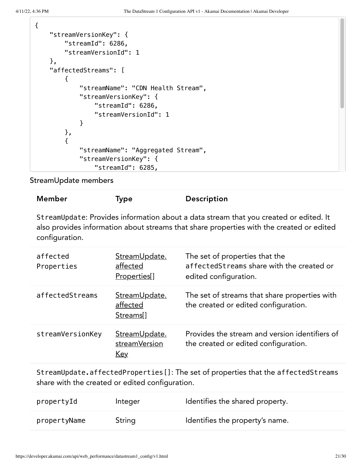$\mathbf{r}$ 

|  | "streamVersionKey": {<br>"streamId": 6286, |  |  |  |  |
|--|--------------------------------------------|--|--|--|--|
|  |                                            |  |  |  |  |
|  | "streamVersionId": 1                       |  |  |  |  |
|  | },                                         |  |  |  |  |
|  | "affectedStreams": [                       |  |  |  |  |
|  | ₹                                          |  |  |  |  |
|  | "streamName": "CDN Health Stream",         |  |  |  |  |
|  | "streamVersionKey": {                      |  |  |  |  |
|  | "streamId": 6286,                          |  |  |  |  |
|  | "streamVersionId": 1                       |  |  |  |  |
|  | ł                                          |  |  |  |  |
|  |                                            |  |  |  |  |
|  | },                                         |  |  |  |  |
|  | ſ                                          |  |  |  |  |
|  | "streamName": "Aggregated Stream",         |  |  |  |  |
|  | "streamVersionKey": {                      |  |  |  |  |
|  | "streamId": 6285,                          |  |  |  |  |

StreamUpdate members

## Member Type Description

StreamUpdate: Provides information about a data stream that you created or edited. It also provides information about streams that share properties with the created or edited configuration.

| affected<br>Properties | StreamUpdate.<br>affected<br>Properties[]          | The set of properties that the<br>affectedStreams share with the created or<br>edited configuration. |
|------------------------|----------------------------------------------------|------------------------------------------------------------------------------------------------------|
| affectedStreams        | StreamUpdate.<br>affected<br>Streams <sup>[]</sup> | The set of streams that share properties with<br>the created or edited configuration.                |
| streamVersionKey       | StreamUpdate.<br>streamVersion<br><u>Key</u>       | Provides the stream and version identifiers of<br>the created or edited configuration.               |

<span id="page-20-0"></span>StreamUpdate.affectedProperties[]: The set of properties that the affectedStreams share with the created or edited configuration.

| propertyId   | Integer | Identifies the shared property. |
|--------------|---------|---------------------------------|
| propertyName | String  | Identifies the property's name. |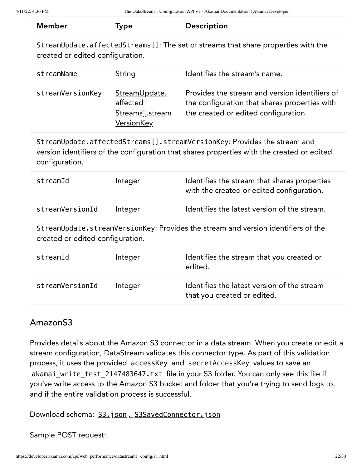<span id="page-21-3"></span><span id="page-21-1"></span>

| <b>Member</b>                                                                                                          | <b>Type</b>                                                        | Description                                                                                                                                                            |  |  |
|------------------------------------------------------------------------------------------------------------------------|--------------------------------------------------------------------|------------------------------------------------------------------------------------------------------------------------------------------------------------------------|--|--|
| StreamUpdate.affectedStreams []: The set of streams that share properties with the<br>created or edited configuration. |                                                                    |                                                                                                                                                                        |  |  |
| streamName                                                                                                             | String                                                             | Identifies the stream's name.                                                                                                                                          |  |  |
| streamVersionKey                                                                                                       | StreamUpdate.<br>affected<br>Streams[].stream<br><b>VersionKey</b> | Provides the stream and version identifiers of<br>the configuration that shares properties with<br>the created or edited configuration.                                |  |  |
| configuration.                                                                                                         |                                                                    | StreamUpdate.affectedStreams[].streamVersionKey: Provides the stream and<br>version identifiers of the configuration that shares properties with the created or edited |  |  |
| streamId                                                                                                               | Integer                                                            | Identifies the stream that shares properties<br>with the created or edited configuration.                                                                              |  |  |
| streamVersionId                                                                                                        | Integer                                                            | Identifies the latest version of the stream.                                                                                                                           |  |  |
| StreamUpdate.streamVersionKey: Provides the stream and version identifiers of the<br>created or edited configuration.  |                                                                    |                                                                                                                                                                        |  |  |
| streamId                                                                                                               | Integer                                                            | Identifies the stream that you created or<br>edited.                                                                                                                   |  |  |
| streamVersionId                                                                                                        | Integer                                                            | Identifies the latest version of the stream<br>that you created or edited.                                                                                             |  |  |

### <span id="page-21-2"></span><span id="page-21-0"></span>AmazonS3

Provides details about the Amazon S3 connector in a data stream. When you create or edit a stream configuration, DataStream validates this connector type. As part of this validation process, it uses the provided accessKey and secretAccessKey values to save an akamai\_write\_test\_2147483647.txt file in your S3 folder. You can only see this file if you've write access to the Amazon S3 bucket and folder that you're trying to send logs to, and if the entire validation process is successful.

Download schema: S3.json, [S3SavedConnector.json](https://developer.akamai.com/api/web_performance/datastream1_config/v1-api.zip)

Sample POST [request](#page-7-0):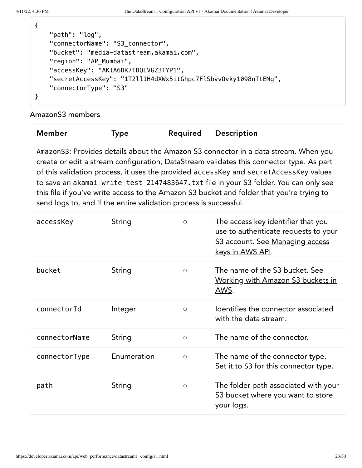$\mathbf{r}$ 

| "path": "log",                                                 |
|----------------------------------------------------------------|
| "connectorName": "S3_connector",                               |
| "bucket": "media-datastream.akamai.com",                       |
| "region": "AP_Mumbai",                                         |
| "accessKey": "AKIA6DK7TDQLVGZ3TYP1",                           |
| "secretAccessKey": "1T2ll1H4dXWx5itGhpc7FlSbvv0vky1098nTtEMg", |
| "connectorType": "S3"                                          |
|                                                                |
|                                                                |

AmazonS3 members

| Member | Type | Required | <b>Description</b> |
|--------|------|----------|--------------------|
|--------|------|----------|--------------------|

AmazonS3: Provides details about the Amazon S3 connector in a data stream. When you create or edit a stream configuration, DataStream validates this connector type. As part of this validation process, it uses the provided accessKey and secretAccessKey values to save an akamai\_write\_test\_2147483647.txt file in your S3 folder. You can only see this file if you've write access to the Amazon S3 bucket and folder that you're trying to send logs to, and if the entire validation process is successful.

| accessKey     | String      | $\circ$    | The access key identifier that you<br>use to authenticate requests to your<br>S3 account. See Managing access<br><u>keys in AWS API</u> . |
|---------------|-------------|------------|-------------------------------------------------------------------------------------------------------------------------------------------|
| bucket        | String      | $\circ$    | The name of the S3 bucket. See<br><u>Working with Amazon S3 buckets in</u><br>AWS.                                                        |
| connectorId   | Integer     | $\bigcirc$ | Identifies the connector associated<br>with the data stream.                                                                              |
| connectorName | String      | $\circ$    | The name of the connector.                                                                                                                |
| connectorType | Enumeration | $\circ$    | The name of the connector type.<br>Set it to S3 for this connector type.                                                                  |
| path          | String      | $\circ$    | The folder path associated with your<br>S3 bucket where you want to store<br>your logs.                                                   |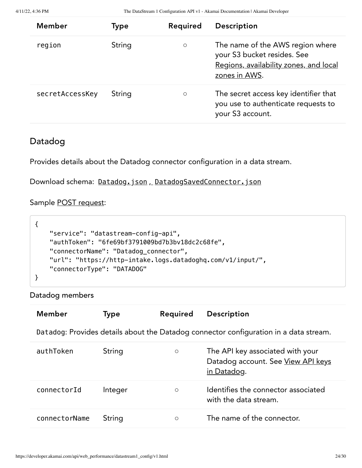4/11/22, 4:36 PM The DataStream 1 Configuration API v1 - Akamai Documentation | Akamai Developer

| <b>Member</b>   | Type   | Required | Description                                                                                                                |
|-----------------|--------|----------|----------------------------------------------------------------------------------------------------------------------------|
| region          | String | $\circ$  | The name of the AWS region where<br>your S3 bucket resides. See<br>Regions, availability zones, and local<br>zones in AWS. |
| secretAccessKey | String | $\circ$  | The secret access key identifier that<br>you use to authenticate requests to<br>your S3 account.                           |

## <span id="page-23-0"></span>Datadog

Provides details about the Datadog connector configuration in a data stream.

Download schema: Datadog.json, [DatadogSavedConnector.json](https://developer.akamai.com/api/web_performance/datastream1_config/v1-api.zip)

Sample POST [request](#page-7-0):

```
{
     "service": "datastream-config-api",
     "authToken": "6fe69bf3791009bd7b3bv18dc2c68fe",
     "connectorName": "Datadog_connector",
     "url": "https://http-intake.logs.datadoghq.com/v1/input/",
     "connectorType": "DATADOG"
}
```
Datadog members

| Member        | <b>Type</b> | Required | Description                                                                           |
|---------------|-------------|----------|---------------------------------------------------------------------------------------|
|               |             |          | Datadog: Provides details about the Datadog connector configuration in a data stream. |
| authToken     | String      | $\circ$  | The API key associated with your<br>Datadog account. See View API keys<br>in Datadog. |
| connectorId   | Integer     | $\circ$  | Identifies the connector associated<br>with the data stream.                          |
| connectorName | String      | $\circ$  | The name of the connector.                                                            |
|               |             |          |                                                                                       |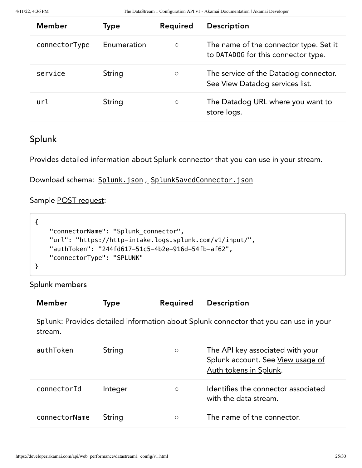| <b>Member</b> | <b>Type</b> | Required | <b>Description</b>                                                            |
|---------------|-------------|----------|-------------------------------------------------------------------------------|
| connectorType | Enumeration | $\circ$  | The name of the connector type. Set it<br>to DATAD0G for this connector type. |
| service       | String      | $\circ$  | The service of the Datadog connector.<br>See View Datadog services list.      |
| url           | String      | $\circ$  | The Datadog URL where you want to<br>store logs.                              |

# <span id="page-24-0"></span>Splunk

Provides detailed information about Splunk connector that you can use in your stream.

Download schema: Splunk.json, [SplunkSavedConnector.json](https://developer.akamai.com/api/web_performance/datastream1_config/v1-api.zip)

## Sample POST [request](#page-7-0):

| "connectorName": "Splunk_connector",                    |
|---------------------------------------------------------|
| "url": "https://http-intake.logs.splunk.com/v1/input/", |
| "authToken": "244fd617-51c5-4b2e-916d-54fb-af62",       |
| "ConnectorType": "SPLUNK"                               |
|                                                         |

## Splunk members

| <b>Member</b> | Type    | Required | Description                                                                                     |
|---------------|---------|----------|-------------------------------------------------------------------------------------------------|
| stream.       |         |          | Splunk: Provides detailed information about Splunk connector that you can use in your           |
| authToken     | String  | $\circ$  | The API key associated with your<br>Splunk account. See View usage of<br>Auth tokens in Splunk. |
| connectorId   | Integer | $\circ$  | Identifies the connector associated<br>with the data stream.                                    |
| connectorName | String  | O        | The name of the connector.                                                                      |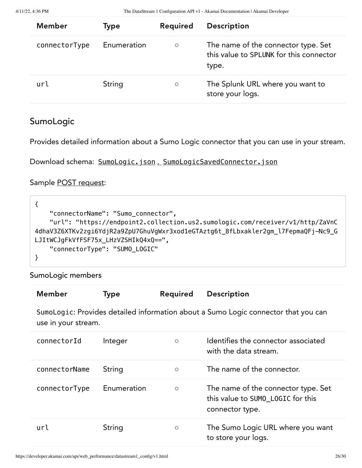| <b>Member</b> | Type        | Required | <b>Description</b>                                                                      |
|---------------|-------------|----------|-----------------------------------------------------------------------------------------|
| connectorType | Enumeration | $\circ$  | The name of the connector type. Set<br>this value to SPLUNK for this connector<br>type. |
| url           | String      | $\circ$  | The Splunk URL where you want to<br>store your logs.                                    |

## <span id="page-25-0"></span>SumoLogic

Provides detailed information about a Sumo Logic connector that you can use in your stream.

```
SumoLogicSavedConnector.json
```
Sample POST [request](#page-7-0):

```
{
     "connectorName": "Sumo_connector",
     "url": "https://endpoint2.collection.us2.sumologic.com/receiver/v1/http/ZaVnC
4dhaV3Z6XTKv2zgi6YdjR2a9ZpU7GhuVgWxr3xod1eGTAztg6t_8fLbxakler2gm_l7FepmaQFj-Nc9_G
LJItWCJgFkVfFSF75x_LHzVZSHIkQ4xQ==",
     "connectorType": "SUMO_LOGIC"
}
```
SumoLogic members

| Member              | <b>Type</b> | Required | Description                                                                                 |
|---------------------|-------------|----------|---------------------------------------------------------------------------------------------|
| use in your stream. |             |          | SumoLogic: Provides detailed information about a Sumo Logic connector that you can          |
| connectorId         | Integer     | $\circ$  | Identifies the connector associated<br>with the data stream.                                |
| connectorName       | String      | $\circ$  | The name of the connector.                                                                  |
| connectorType       | Enumeration | $\circ$  | The name of the connector type. Set<br>this value to SUMO_LOGIC for this<br>connector type. |
| url                 | String      | $\circ$  | The Sumo Logic URL where you want<br>to store your logs.                                    |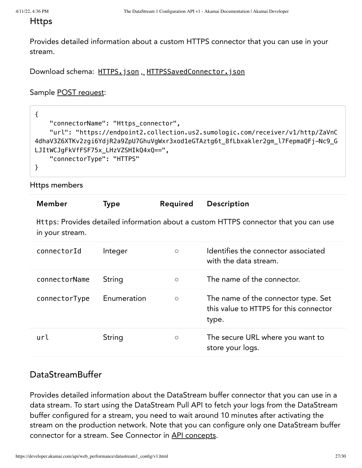#### <span id="page-26-0"></span>Https

Provides detailed information about a custom HTTPS connector that you can use in your stream.

Download schema: HTTPS.json, [HTTPSSavedConnector.json](https://developer.akamai.com/api/web_performance/datastream1_config/v1-api.zip)

Sample POST [request](#page-7-0):

| "connectorName": "Https_connector",                                               |
|-----------------------------------------------------------------------------------|
| "url": "https://endpoint2.collection.us2.sumologic.com/receiver/v1/http/ZaVnC     |
| 4dhaV3Z6XTKv2zgi6YdjR2a9ZpU7GhuVgWxr3xod1eGTAztg6t_8fLbxakler2gm_l7FepmaQFj-Nc9_G |
| LJItWCJgFkVfFSF75x_LHzVZSHIkQ4xQ==",                                              |
| "connectorType": "HTTPS"                                                          |
|                                                                                   |

Https members

| <b>Member</b>                                                                                           | <b>Type</b> | Required | <b>Description</b>                                                                     |  |
|---------------------------------------------------------------------------------------------------------|-------------|----------|----------------------------------------------------------------------------------------|--|
| Https: Provides detailed information about a custom HTTPS connector that you can use<br>in your stream. |             |          |                                                                                        |  |
| connectorId                                                                                             | Integer     | $\circ$  | Identifies the connector associated<br>with the data stream.                           |  |
| connectorName                                                                                           | String      | $\circ$  | The name of the connector.                                                             |  |
| connectorType                                                                                           | Enumeration | $\circ$  | The name of the connector type. Set<br>this value to HTTPS for this connector<br>type. |  |
| url                                                                                                     | String      | $\circ$  | The secure URL where you want to<br>store your logs.                                   |  |

## <span id="page-26-1"></span>DataStreamBuffer

Provides detailed information about the DataStream buffer connector that you can use in a data stream. To start using the DataStream Pull API to fetch your logs from the DataStream buffer configured for a stream, you need to wait around 10 minutes after activating the stream on the production network. Note that you can configure only one DataStream buffer connector for a stream. See Connector in API [concepts](#page-1-0).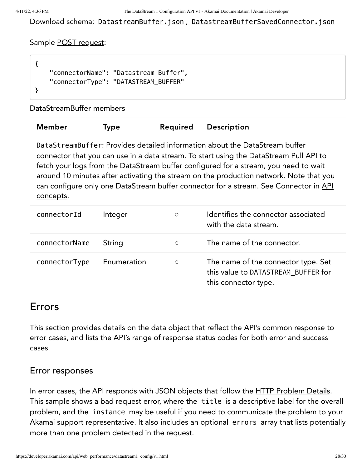Download schema: DatastreamBuffer.json, [DatastreamBufferSavedConnector.json](https://developer.akamai.com/api/web_performance/datastream1_config/v1-api.zip)

#### Sample POST [request](#page-7-0):

```
{
     "connectorName": "Datastream Buffer",
     "connectorType": "DATASTREAM_BUFFER"
}
```
DataStreamBuffer members

| Member | <b>Type</b> | Required | Description |
|--------|-------------|----------|-------------|
|        |             |          |             |

DataStreamBuffer: Provides detailed information about the DataStream buffer connector that you can use in a data stream. To start using the DataStream Pull API to fetch your logs from the DataStream buffer configured for a stream, you need to wait around 10 minutes after activating the stream on the production network. Note that you can configure only one [DataStream](#page-1-0) buffer connector for a stream. See Connector in API concepts.

| connectorId   | Integer     | $\circ$ | Identifies the connector associated<br>with the data stream.                                       |
|---------------|-------------|---------|----------------------------------------------------------------------------------------------------|
| connectorName | String      | $\circ$ | The name of the connector.                                                                         |
| connectorType | Enumeration | $\circ$ | The name of the connector type. Set<br>this value to DATASTREAM BUFFER for<br>this connector type. |

## Errors

This section provides details on the data object that reflect the API's common response to error cases, and lists the API's range of response status codes for both error and success cases.

### Error responses

In error cases, the API responds with JSON objects that follow the HTTP [Problem](https://tools.ietf.org/html/rfc7807standard) Details. This sample shows a bad request error, where the title is a descriptive label for the overall problem, and the instance may be useful if you need to communicate the problem to your Akamai support representative. It also includes an optional errors array that lists potentially more than one problem detected in the request.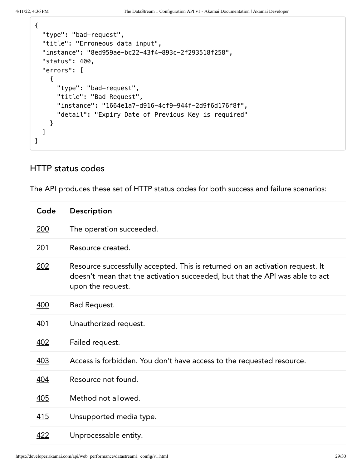```
{
   "type": "bad-request",
  "title": "Erroneous data input",
   "instance": "8ed959ae-bc22-43f4-893c-2f293518f258",
   "status": 400,
   "errors": [
     {
       "type": "bad-request",
       "title": "Bad Request",
       "instance": "1664e1a7-d916-4cf9-944f-2d9f6d176f8f",
       "detail": "Expiry Date of Previous Key is required"
     }
   ]
}
```
## HTTP status codes

The API produces these set of HTTP status codes for both success and failure scenarios:

| Code       | Description                                                                                                                                                                        |
|------------|------------------------------------------------------------------------------------------------------------------------------------------------------------------------------------|
| 200        | The operation succeeded.                                                                                                                                                           |
| <u>201</u> | Resource created.                                                                                                                                                                  |
| 202        | Resource successfully accepted. This is returned on an activation request. It<br>doesn't mean that the activation succeeded, but that the API was able to act<br>upon the request. |
| 400        | Bad Request.                                                                                                                                                                       |
| <u>401</u> | Unauthorized request.                                                                                                                                                              |
| 402        | Failed request.                                                                                                                                                                    |
| <u>403</u> | Access is forbidden. You don't have access to the requested resource.                                                                                                              |
| 404        | Resource not found.                                                                                                                                                                |
| <u>405</u> | Method not allowed.                                                                                                                                                                |
| <u>415</u> | Unsupported media type.                                                                                                                                                            |
| <u>422</u> | Unprocessable entity.                                                                                                                                                              |